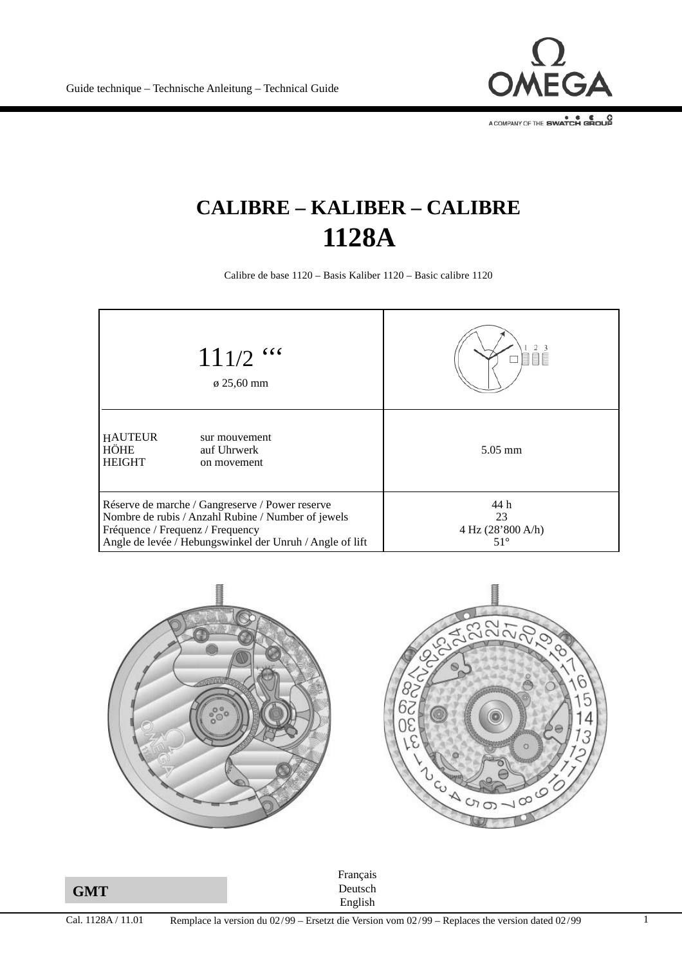

## **CALIBRE – KALIBER – CALIBRE 1128A**

Calibre de base 1120 – Basis Kaliber 1120 – Basic calibre 1120

| $111/2$<br>$\varphi$ 25,60 mm                                                                                                                                                                         |                                                 |
|-------------------------------------------------------------------------------------------------------------------------------------------------------------------------------------------------------|-------------------------------------------------|
| <b>HAUTEUR</b><br>sur mouvement<br><b>HÖHE</b><br>auf Uhrwerk<br><b>HEIGHT</b><br>on movement                                                                                                         | $5.05 \,\mathrm{mm}$                            |
| Réserve de marche / Gangreserve / Power reserve<br>Nombre de rubis / Anzahl Rubine / Number of jewels<br>Fréquence / Frequenz / Frequency<br>Angle de levée / Hebungswinkel der Unruh / Angle of lift | 44 h<br>23<br>4 Hz (28'800 A/h)<br>$51^{\circ}$ |



English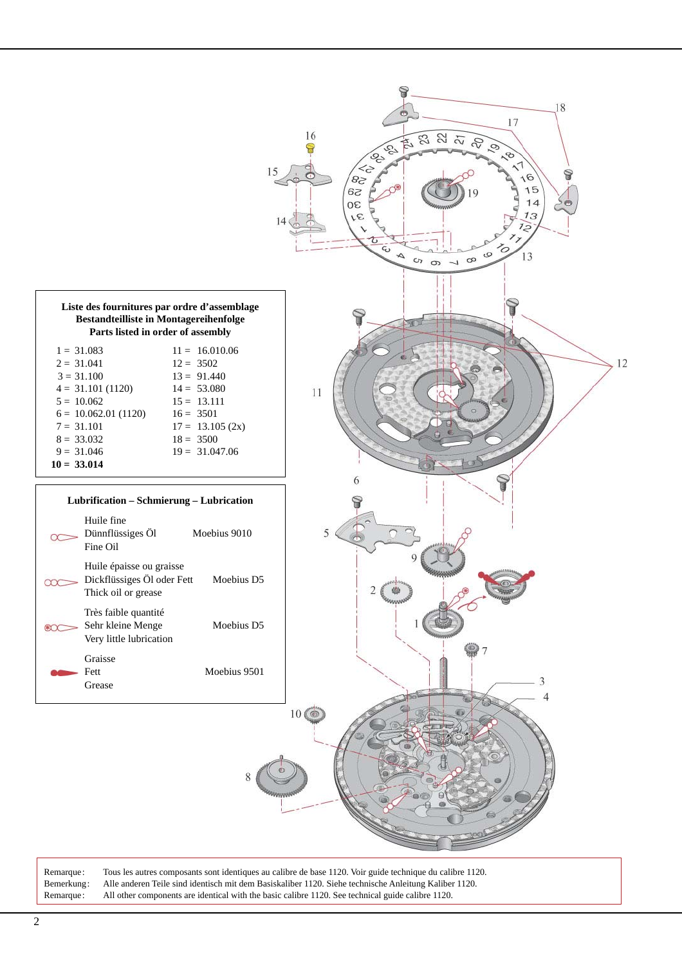| 15                                                                                                                                                                                                                                                                                                                                         | 18<br>17<br>16<br>8<br>$\sqrt{ }$<br>9<br>16<br>15<br>59<br>14<br>Oε<br>$\bullet$<br>13<br>LE<br>$\overline{z}$<br>t<br>$\overline{c}$<br>$0^6$ 0 0 1<br>$\blacktriangle$<br>13<br>0, 0 |
|--------------------------------------------------------------------------------------------------------------------------------------------------------------------------------------------------------------------------------------------------------------------------------------------------------------------------------------------|-----------------------------------------------------------------------------------------------------------------------------------------------------------------------------------------|
| Liste des fournitures par ordre d'assemblage<br><b>Bestandteilliste in Montagereihenfolge</b><br>Parts listed in order of assembly                                                                                                                                                                                                         |                                                                                                                                                                                         |
| $1 = 31.083$<br>$11 = 16.010.06$<br>$12 = 3502$<br>$2 = 31.041$<br>$3 = 31.100$<br>$13 = 91.440$<br>$4 = 31.101(1120)$<br>$14 = 53.080$<br>$5 = 10.062$<br>$15 = 13.111$<br>$6 = 10.062.01(1120)$<br>$16 = 3501$<br>$7 = 31.101$<br>$17 = 13.105$ (2x)<br>$8 = 33.032$<br>$18 = 3500$<br>$9 = 31.046$<br>$19 = 31.047.06$<br>$10 = 33.014$ | 12<br>11                                                                                                                                                                                |
| Lubrification - Schmierung - Lubrication                                                                                                                                                                                                                                                                                                   | 6                                                                                                                                                                                       |
| Huile fine<br>Dünnflüssiges Öl<br>Moebius 9010<br>$\infty$<br>Fine Oil                                                                                                                                                                                                                                                                     | 5                                                                                                                                                                                       |
| Huile épaisse ou graisse<br>Dickflüssiges Öl oder Fett<br>Moebius D5<br>$\infty$<br>Thick oil or grease                                                                                                                                                                                                                                    | $\overline{\mathbf{c}}$<br>Www                                                                                                                                                          |
| Très faible quantité<br>Sehr kleine Menge<br>Moebius D5<br>⊛OC<br>Very little lubrication                                                                                                                                                                                                                                                  |                                                                                                                                                                                         |
| Graisse<br>Fett<br>Moebius 9501<br>Grease                                                                                                                                                                                                                                                                                                  | 3<br>4                                                                                                                                                                                  |
|                                                                                                                                                                                                                                                                                                                                            | 10                                                                                                                                                                                      |

Remarque: Tous les autres composants sont identiques au calibre de base 1120. Voir guide technique du calibre 1120. Bemerkung: Alle anderen Teile sind identisch mit dem Basiskaliber 1120. Siehe technische Anleitung Kaliber 1120. Remarque: All other components are identical with the basic calibre 1120. See technical guide calibre 1120.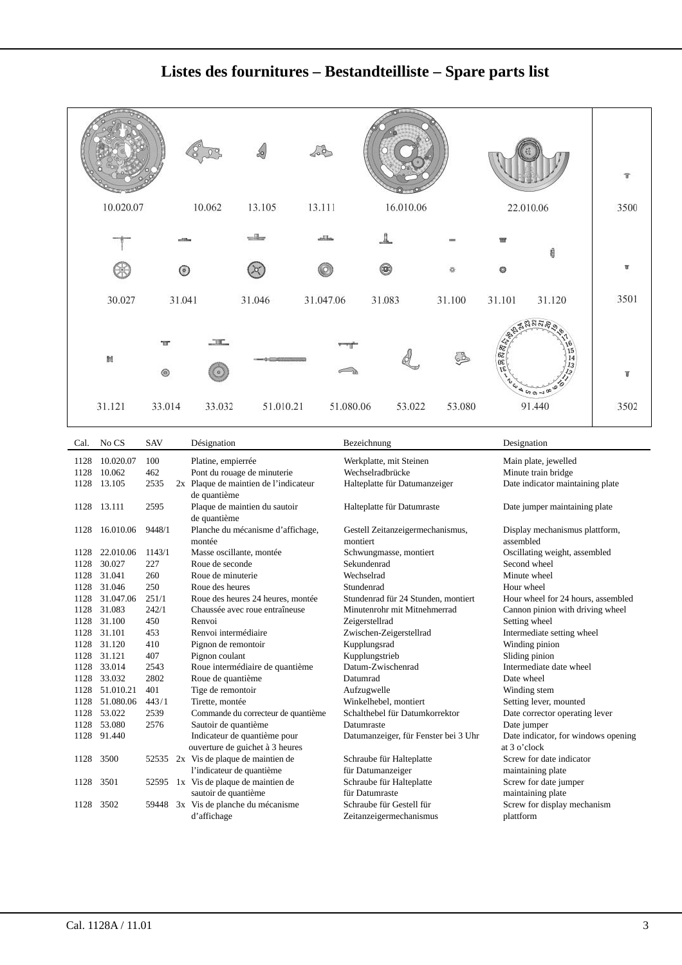

|  | Listes des fournitures – Bestandteilliste – Spare parts list |  |
|--|--------------------------------------------------------------|--|
|  |                                                              |  |

| Cal. | No CS       | <b>SAV</b> | Désignation                                           | Bezeichnung                                  | Designation                                 |
|------|-------------|------------|-------------------------------------------------------|----------------------------------------------|---------------------------------------------|
| 1128 | 10.020.07   | 100        | Platine, empierrée                                    | Werkplatte, mit Steinen                      | Main plate, jewelled                        |
| 1128 | 10.062      | 462        | Pont du rouage de minuterie                           | Wechselradbrücke                             | Minute train bridge                         |
| 1128 | 13.105      | 2535       | 2x Plaque de maintien de l'indicateur<br>de quantième | Halteplatte für Datumanzeiger                | Date indicator maintaining plate            |
| 1128 | 13.111      | 2595       | Plaque de maintien du sautoir<br>de quantième         | Halteplatte für Datumraste                   | Date jumper maintaining plate               |
| 1128 | 16.010.06   | 9448/1     | Planche du mécanisme d'affichage,<br>montée           | Gestell Zeitanzeigermechanismus,<br>montiert | Display mechanismus plattform,<br>assembled |
| 1128 | 22.010.06   | 1143/1     | Masse oscillante, montée                              | Schwungmasse, montiert                       | Oscillating weight, assembled               |
| 1128 | 30.027      | 227        | Roue de seconde                                       | Sekundenrad                                  | Second wheel                                |
| 1128 | 31.041      | 260        | Roue de minuterie                                     | Wechselrad                                   | Minute wheel                                |
| 1128 | 31.046      | 250        | Roue des heures                                       | Stundenrad                                   | Hour wheel                                  |
| 1128 | 31.047.06   | 251/1      | Roue des heures 24 heures, montée                     | Stundenrad für 24 Stunden, montiert          | Hour wheel for 24 hours, assembled          |
| 1128 | 31.083      | 242/1      | Chaussée avec roue entraîneuse                        | Minutenrohr mit Mitnehmerrad                 | Cannon pinion with driving wheel            |
| 1128 | 31.100      | 450        | Renvoi                                                | Zeigerstellrad                               | Setting wheel                               |
| 1128 | 31.101      | 453        | Renvoi intermédiaire                                  | Zwischen-Zeigerstellrad                      | Intermediate setting wheel                  |
| 1128 | 31.120      | 410        | Pignon de remontoir                                   | Kupplungsrad                                 | Winding pinion                              |
| 1128 | 31.121      | 407        | Pignon coulant                                        | Kupplungstrieb                               | Sliding pinion                              |
| 1128 | 33.014      | 2543       | Roue intermédiaire de quantième                       | Datum-Zwischenrad                            | Intermediate date wheel                     |
| 1128 | 33.032      | 2802       | Roue de quantième                                     | Datumrad                                     | Date wheel                                  |
| 1128 | 51.010.21   | 401        | Tige de remontoir                                     | Aufzugwelle                                  | Winding stem                                |
| 1128 | 51.080.06   | 443/1      | Tirette, montée                                       | Winkelhebel, montiert                        | Setting lever, mounted                      |
|      | 1128 53.022 | 2539       | Commande du correcteur de quantième                   | Schalthebel für Datumkorrektor               | Date corrector operating lever              |
| 1128 | 53.080      | 2576       | Sautoir de quantième                                  | Datumraste                                   | Date jumper                                 |
| 1128 | 91.440      |            | Indicateur de quantième pour                          | Datumanzeiger, für Fenster bei 3 Uhr         | Date indicator, for windows opening         |
|      |             |            | ouverture de guichet à 3 heures                       |                                              | at 3 o'clock                                |
| 1128 | 3500        | 52535      | 2x Vis de plaque de maintien de                       | Schraube für Halteplatte                     | Screw for date indicator                    |
|      |             |            | l'indicateur de quantième                             | für Datumanzeiger                            | maintaining plate                           |
| 1128 | 3501        |            | 52595 1x Vis de plaque de maintien de                 | Schraube für Halteplatte                     | Screw for date jumper                       |
|      |             |            | sautoir de quantième                                  | für Datumraste                               | maintaining plate                           |
| 1128 | 3502        | 59448      | 3x Vis de planche du mécanisme                        | Schraube für Gestell für                     | Screw for display mechanism                 |
|      |             |            | d'affichage                                           | Zeitanzeigermechanismus                      | plattform                                   |